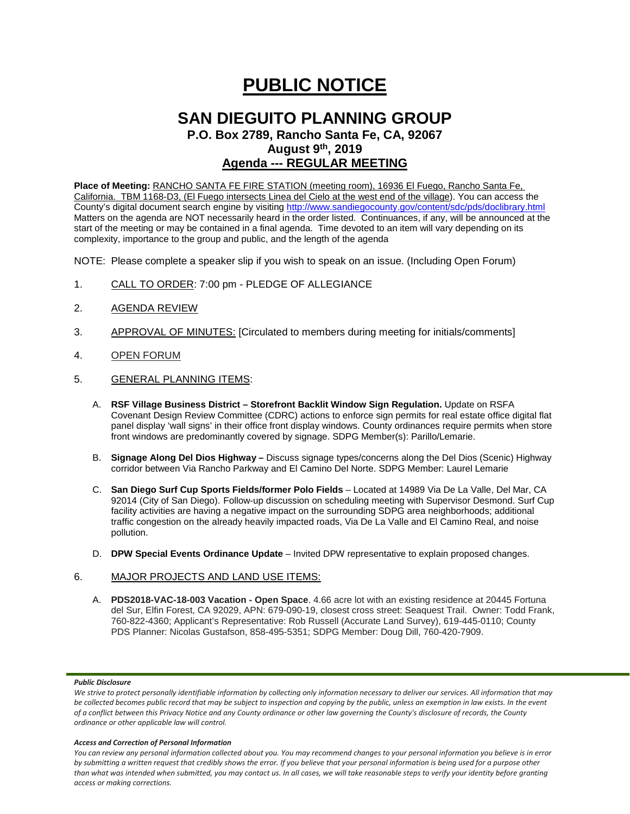# **PUBLIC NOTICE**

## **SAN DIEGUITO PLANNING GROUP**

**P.O. Box 2789, Rancho Santa Fe, CA, 92067 August 9th, 2019**

### **Agenda --- REGULAR MEETING**

**Place of Meeting:** RANCHO SANTA FE FIRE STATION (meeting room), 16936 El Fuego, Rancho Santa Fe, California. TBM 1168-D3, (El Fuego intersects Linea del Cielo at the west end of the village). You can access the County's digital document search engine by visitin[g http://www.sandiegocounty.gov/content/sdc/pds/doclibrary.html](http://www.sandiegocounty.gov/content/sdc/pds/doclibrary.html) Matters on the agenda are NOT necessarily heard in the order listed. Continuances, if any, will be announced at the start of the meeting or may be contained in a final agenda. Time devoted to an item will vary depending on its complexity, importance to the group and public, and the length of the agenda

NOTE: Please complete a speaker slip if you wish to speak on an issue. (Including Open Forum)

- 1. CALL TO ORDER: 7:00 pm PLEDGE OF ALLEGIANCE
- 2. AGENDA REVIEW
- 3. APPROVAL OF MINUTES: [Circulated to members during meeting for initials/comments]
- 4. OPEN FORUM
- 5. GENERAL PLANNING ITEMS:
	- A. **RSF Village Business District – Storefront Backlit Window Sign Regulation.** Update on RSFA Covenant Design Review Committee (CDRC) actions to enforce sign permits for real estate office digital flat panel display 'wall signs' in their office front display windows. County ordinances require permits when store front windows are predominantly covered by signage. SDPG Member(s): Parillo/Lemarie.
	- B. **Signage Along Del Dios Highway –** Discuss signage types/concerns along the Del Dios (Scenic) Highway corridor between Via Rancho Parkway and El Camino Del Norte. SDPG Member: Laurel Lemarie
	- C. **San Diego Surf Cup Sports Fields/former Polo Fields** Located at 14989 Via De La Valle, Del Mar, CA 92014 (City of San Diego). Follow-up discussion on scheduling meeting with Supervisor Desmond. Surf Cup facility activities are having a negative impact on the surrounding SDPG area neighborhoods; additional traffic congestion on the already heavily impacted roads, Via De La Valle and El Camino Real, and noise pollution.
	- D. **DPW Special Events Ordinance Update** Invited DPW representative to explain proposed changes.

#### 6. MAJOR PROJECTS AND LAND USE ITEMS:

A. **PDS2018-VAC-18-003 Vacation - Open Space**. 4.66 acre lot with an existing residence at 20445 Fortuna del Sur, Elfin Forest, CA 92029, APN: 679-090-19, closest cross street: Seaquest Trail. Owner: Todd Frank, 760-822-4360; Applicant's Representative: Rob Russell (Accurate Land Survey), 619-445-0110; County PDS Planner: Nicolas Gustafson, 858-495-5351; SDPG Member: Doug Dill, 760-420-7909.

#### *Public Disclosure*

#### *Access and Correction of Personal Information*

*You can review any personal information collected about you. You may recommend changes to your personal information you believe is in error by submitting a written request that credibly shows the error. If you believe that your personal information is being used for a purpose other than what was intended when submitted, you may contact us. In all cases, we will take reasonable steps to verify your identity before granting access or making corrections.*

We strive to protect personally identifiable information by collecting only information necessary to deliver our services. All information that may *be collected becomes public record that may be subject to inspection and copying by the public, unless an exemption in law exists. In the event of a conflict between this Privacy Notice and any County ordinance or other law governing the County's disclosure of records, the County ordinance or other applicable law will control.*